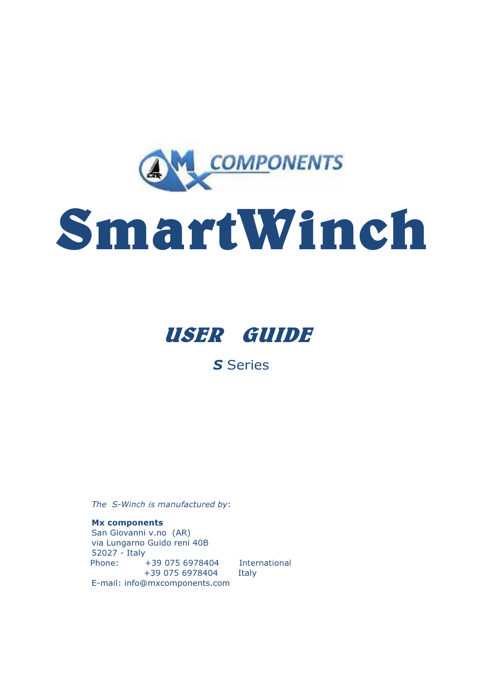

# SmartWinch



S Series

The S-Winch is manufactured by:

Mx components San Giovanni v.no (AR) via Lungarno Guido reni 40B 52027 - Italy Phone: +39 075 6978404 International +39 075 6978404 Italy E-mail: info@mxcomponents.com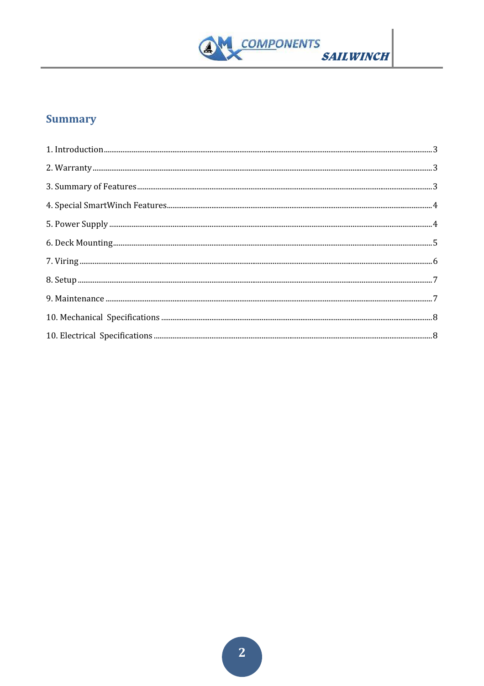

## **Summary**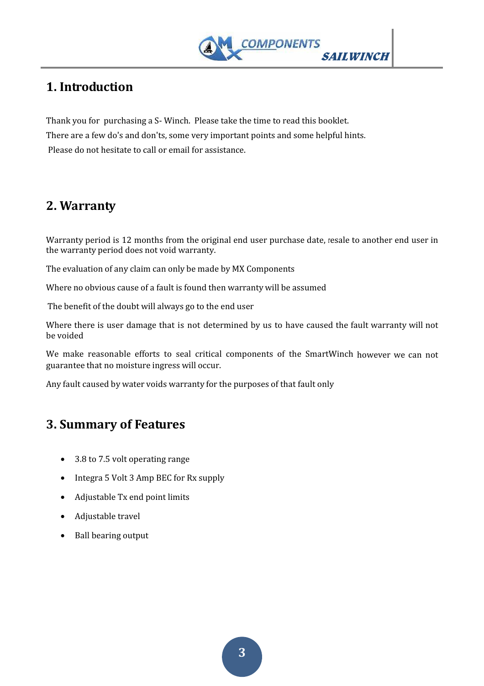

# 1. Introduction

Thank you for purchasing a S- Winch. Please take the time to read this booklet. There are a few do's and don'ts, some very important points and some helpful hints. Please do not hesitate to call or email for assistance.

## 2. Warranty

Warranty period is 12 months from the original end user purchase date, resale to another end user in the warranty period does not void warranty.

The evaluation of any claim can only be made by MX Components

Where no obvious cause of a fault is found then warranty will be assumed

The benefit of the doubt will always go to the end user

Where there is user damage that is not determined by us to have caused the fault warranty will not be voided

We make reasonable efforts to seal critical components of the SmartWinch however we can not guarantee that no moisture ingress will occur.

Any fault caused by water voids warranty for the purposes of that fault only

## 3. Summary of Features

- 3.8 to 7.5 volt operating range
- Integra 5 Volt 3 Amp BEC for Rx supply
- Adjustable Tx end point limits
- Adjustable travel
- Ball bearing output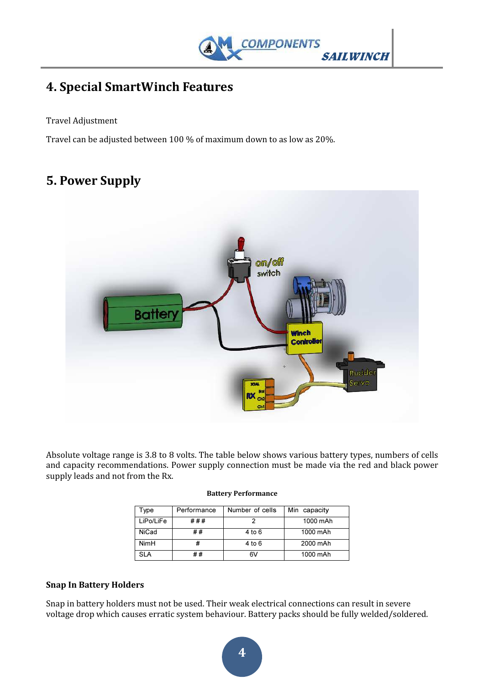

# 4. Special SmartWinch Features

#### Travel Adjustment

Travel can be adjusted between 100 % of maximum down to as low as 20%.

## 5. Power Supply



Absolute voltage range is 3.8 to 8 volts. The table below shows various battery types, numbers of cells and capacity recommendations. Power supply connection must be made via the red and black power supply leads and not from the Rx.

| Type        | Performance | Number of cells | Min capacity |
|-------------|-------------|-----------------|--------------|
| LiPo/LiFe   | ###         |                 | 1000 mAh     |
| NiCad       | ##          | 4 to 6          | 1000 mAh     |
| <b>NimH</b> |             | 4 to 6          | 2000 mAh     |
| <b>SLA</b>  | # #         | 6V              | 1000 mAh     |

#### Battery Performance

#### Snap In Battery Holders

Snap in battery holders must not be used. Their weak electrical connections can result in severe voltage drop which causes erratic system behaviour. Battery packs should be fully welded/soldered.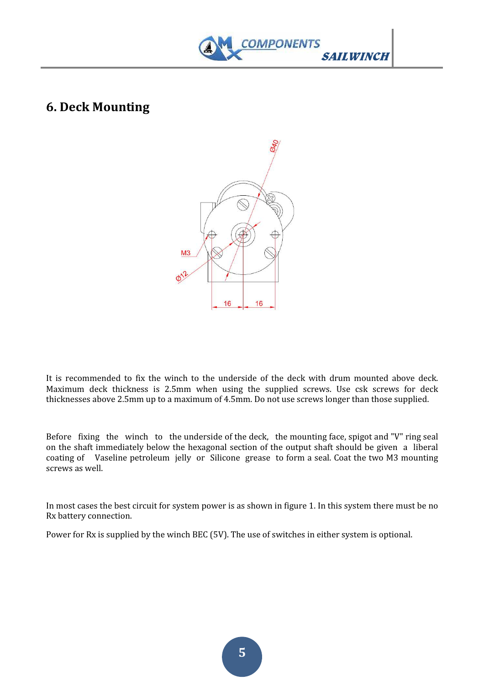

## 6. Deck Mounting



It is recommended to fix the winch to the underside of the deck with drum mounted above deck. Maximum deck thickness is 2.5mm when using the supplied screws. Use csk screws for deck thicknesses above 2.5mm up to a maximum of 4.5mm. Do not use screws longer than those supplied.

Before fixing the winch to the underside of the deck, the mounting face, spigot and "V" ring seal on the shaft immediately below the hexagonal section of the output shaft should be given a liberal coating of Vaseline petroleum jelly or Silicone grease to form a seal. Coat the two M3 mounting screws as well.

In most cases the best circuit for system power is as shown in figure 1. In this system there must be no Rx battery connection.

Power for Rx is supplied by the winch BEC (5V). The use of switches in either system is optional.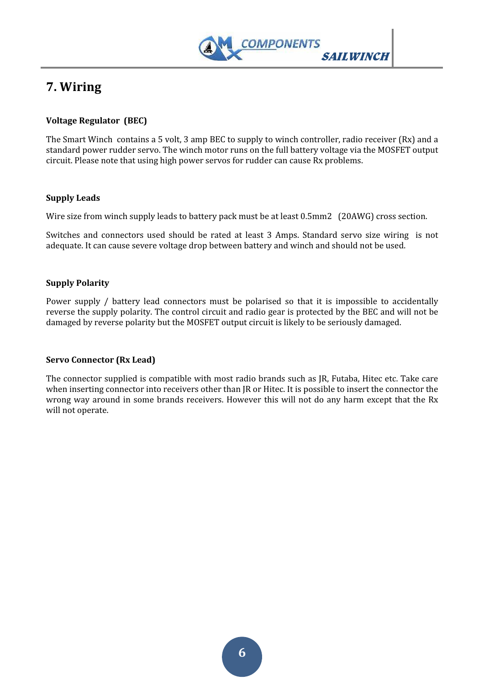

# 7. Wiring

#### Voltage Regulator (BEC)

The Smart Winch contains a 5 volt, 3 amp BEC to supply to winch controller, radio receiver (Rx) and a standard power rudder servo. The winch motor runs on the full battery voltage via the MOSFET output circuit. Please note that using high power servos for rudder can cause Rx problems.

#### Supply Leads

Wire size from winch supply leads to battery pack must be at least 0.5mm2 (20AWG) cross section.

Switches and connectors used should be rated at least 3 Amps. Standard servo size wiring is not adequate. It can cause severe voltage drop between battery and winch and should not be used.

#### Supply Polarity

Power supply / battery lead connectors must be polarised so that it is impossible to accidentally reverse the supply polarity. The control circuit and radio gear is protected by the BEC and will not be damaged by reverse polarity but the MOSFET output circuit is likely to be seriously damaged.

#### Servo Connector (Rx Lead)

The connector supplied is compatible with most radio brands such as JR, Futaba, Hitec etc. Take care when inserting connector into receivers other than JR or Hitec. It is possible to insert the connector the wrong way around in some brands receivers. However this will not do any harm except that the Rx will not operate.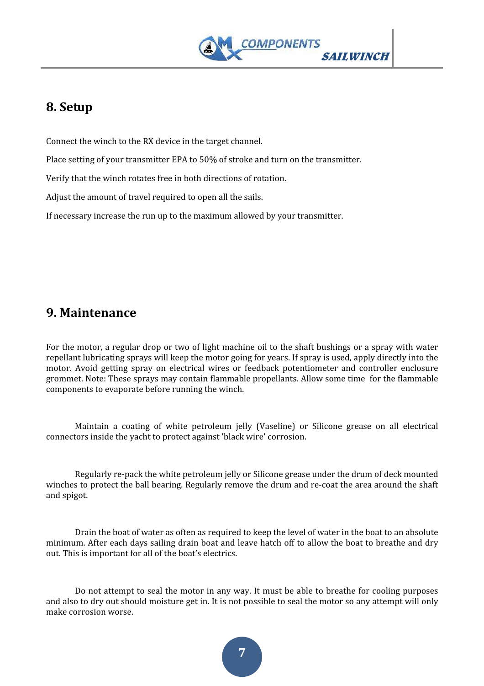

## 8. Setup

Connect the winch to the RX device in the target channel.

Place setting of your transmitter EPA to 50% of stroke and turn on the transmitter.

Verify that the winch rotates free in both directions of rotation.

Adjust the amount of travel required to open all the sails.

If necessary increase the run up to the maximum allowed by your transmitter.

### 9. Maintenance

For the motor, a regular drop or two of light machine oil to the shaft bushings or a spray with water repellant lubricating sprays will keep the motor going for years. If spray is used, apply directly into the motor. Avoid getting spray on electrical wires or feedback potentiometer and controller enclosure grommet. Note: These sprays may contain flammable propellants. Allow some time for the flammable components to evaporate before running the winch.

 Maintain a coating of white petroleum jelly (Vaseline) or Silicone grease on all electrical connectors inside the yacht to protect against 'black wire' corrosion.

 Regularly re-pack the white petroleum jelly or Silicone grease under the drum of deck mounted winches to protect the ball bearing. Regularly remove the drum and re-coat the area around the shaft and spigot.

 Drain the boat of water as often as required to keep the level of water in the boat to an absolute minimum. After each days sailing drain boat and leave hatch off to allow the boat to breathe and dry out. This is important for all of the boat's electrics.

 Do not attempt to seal the motor in any way. It must be able to breathe for cooling purposes and also to dry out should moisture get in. It is not possible to seal the motor so any attempt will only make corrosion worse.